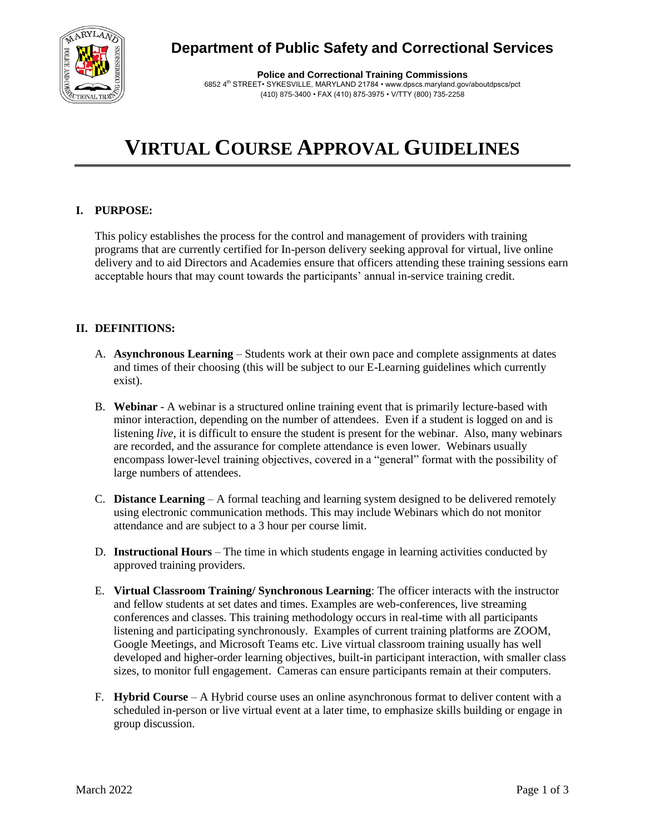

**Police and Correctional Training Commissions** 6852 4th STREET• SYKESVILLE, MARYLAND 21784 • www.dpscs.maryland.gov/aboutdpscs/pct (410) 875-3400 • FAX (410) 875-3975 • V/TTY (800) 735-2258

# **VIRTUAL COURSE APPROVAL GUIDELINES**

# **I. PURPOSE:**

This policy establishes the process for the control and management of providers with training programs that are currently certified for In-person delivery seeking approval for virtual, live online delivery and to aid Directors and Academies ensure that officers attending these training sessions earn acceptable hours that may count towards the participants' annual in-service training credit.

## **II. DEFINITIONS:**

- A. **Asynchronous Learning** Students work at their own pace and complete assignments at dates and times of their choosing (this will be subject to our E-Learning guidelines which currently exist).
- B. **Webinar** A webinar is a structured online training event that is primarily lecture-based with minor interaction, depending on the number of attendees. Even if a student is logged on and is listening *live*, it is difficult to ensure the student is present for the webinar. Also, many webinars are recorded, and the assurance for complete attendance is even lower. Webinars usually encompass lower-level training objectives, covered in a "general" format with the possibility of large numbers of attendees.
- C. **Distance Learning** A formal teaching and learning system designed to be delivered remotely using electronic communication methods. This may include Webinars which do not monitor attendance and are subject to a 3 hour per course limit.
- D. **Instructional Hours** The time in which students engage in learning activities conducted by approved training providers.
- E. **Virtual Classroom Training/ Synchronous Learning**: The officer interacts with the instructor and fellow students at set dates and times. Examples are web-conferences, live streaming conferences and classes. This training methodology occurs in real-time with all participants listening and participating synchronously. Examples of current training platforms are ZOOM, Google Meetings, and Microsoft Teams etc. Live virtual classroom training usually has well developed and higher-order learning objectives, built-in participant interaction, with smaller class sizes, to monitor full engagement. Cameras can ensure participants remain at their computers.
- F. **Hybrid Course** A Hybrid course uses an online asynchronous format to deliver content with a scheduled in-person or live virtual event at a later time, to emphasize skills building or engage in group discussion.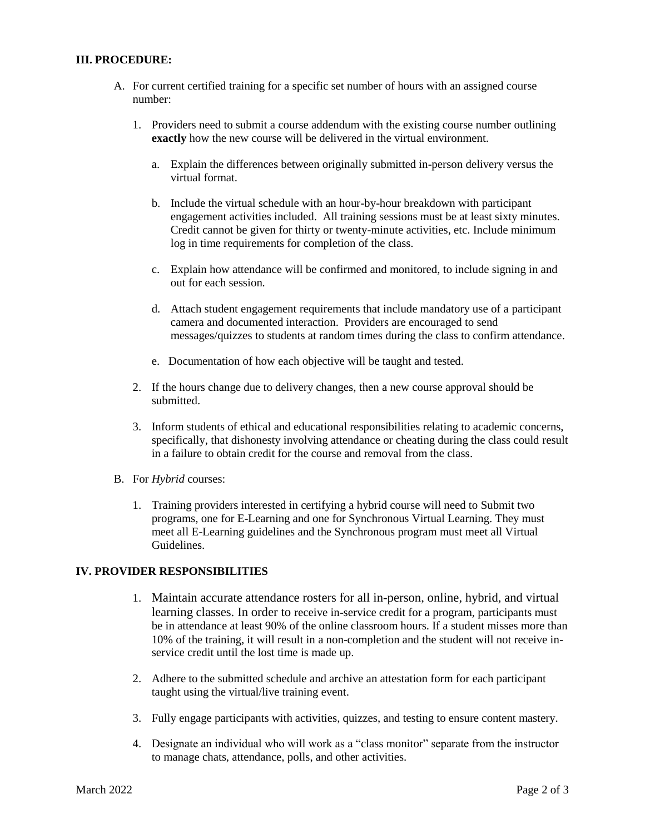#### **III. PROCEDURE:**

- A. For current certified training for a specific set number of hours with an assigned course number:
	- 1. Providers need to submit a course addendum with the existing course number outlining **exactly** how the new course will be delivered in the virtual environment.
		- a. Explain the differences between originally submitted in-person delivery versus the virtual format.
		- b. Include the virtual schedule with an hour-by-hour breakdown with participant engagement activities included. All training sessions must be at least sixty minutes. Credit cannot be given for thirty or twenty-minute activities, etc. Include minimum log in time requirements for completion of the class.
		- c. Explain how attendance will be confirmed and monitored, to include signing in and out for each session.
		- d. Attach student engagement requirements that include mandatory use of a participant camera and documented interaction. Providers are encouraged to send messages/quizzes to students at random times during the class to confirm attendance.
		- e. Documentation of how each objective will be taught and tested.
	- 2. If the hours change due to delivery changes, then a new course approval should be submitted.
	- 3. Inform students of ethical and educational responsibilities relating to academic concerns, specifically, that dishonesty involving attendance or cheating during the class could result in a failure to obtain credit for the course and removal from the class.
- B. For *Hybrid* courses:
	- 1. Training providers interested in certifying a hybrid course will need to Submit two programs, one for E-Learning and one for Synchronous Virtual Learning. They must meet all E-Learning guidelines and the Synchronous program must meet all Virtual Guidelines.

## **IV. PROVIDER RESPONSIBILITIES**

- 1. Maintain accurate attendance rosters for all in-person, online, hybrid, and virtual learning classes. In order to receive in-service credit for a program, participants must be in attendance at least 90% of the online classroom hours. If a student misses more than 10% of the training, it will result in a non-completion and the student will not receive inservice credit until the lost time is made up.
- 2. Adhere to the submitted schedule and archive an attestation form for each participant taught using the virtual/live training event.
- 3. Fully engage participants with activities, quizzes, and testing to ensure content mastery.
- 4. Designate an individual who will work as a "class monitor" separate from the instructor to manage chats, attendance, polls, and other activities.